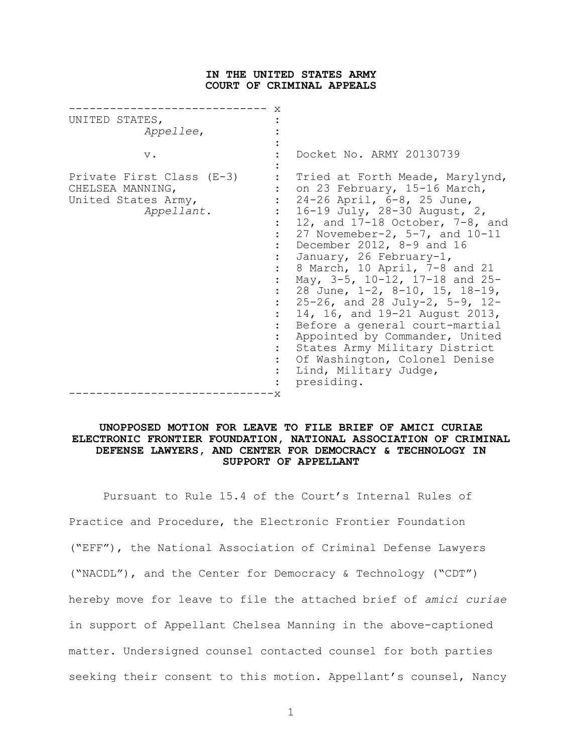### **IN THE UNITED STATES ARMY COURT OF CRIMINAL APPEALS**

|    | UNITED STATES,<br>Appellee,<br>$V$ .<br>Private First Class (E-3)<br>CHELSEA MANNING,<br>United States Army,<br>Appellant. | X | Docket No. ARMY 20130739<br>Tried at Forth Meade, Marylynd,<br>on 23 February, 15-16 March,<br>24-26 April, 6-8, 25 June,<br>16-19 July, 28-30 August, 2,<br>12, and $17-18$ October, $7-8$ , and<br>27 Novemeber-2, $5-7$ , and $10-11$<br>December 2012, 8-9 and 16<br>January, 26 February-1,<br>8 March, 10 April, 7-8 and 21<br>May, 3-5, 10-12, 17-18 and 25-<br>28 June, 1-2, 8-10, 15, 18-19,<br>$25-26$ , and 28 July-2, 5-9, 12-<br>14, 16, and 19-21 August 2013,<br>Before a general court-martial<br>Appointed by Commander, United<br>States Army Military District<br>Of Washington, Colonel Denise<br>Lind, Military Judge, |
|----|----------------------------------------------------------------------------------------------------------------------------|---|---------------------------------------------------------------------------------------------------------------------------------------------------------------------------------------------------------------------------------------------------------------------------------------------------------------------------------------------------------------------------------------------------------------------------------------------------------------------------------------------------------------------------------------------------------------------------------------------------------------------------------------------|
| 'Χ |                                                                                                                            |   | presiding.                                                                                                                                                                                                                                                                                                                                                                                                                                                                                                                                                                                                                                  |

### **UNOPPOSED MOTION FOR LEAVE TO FILE BRIEF OF AMICI CURIAE ELECTRONIC FRONTIER FOUNDATION, NATIONAL ASSOCIATION OF CRIMINAL DEFENSE LAWYERS, AND CENTER FOR DEMOCRACY & TECHNOLOGY IN SUPPORT OF APPELLANT**

Pursuant to Rule 15.4 of the Court's Internal Rules of Practice and Procedure, the Electronic Frontier Foundation ("EFF"), the National Association of Criminal Defense Lawyers ("NACDL"), and the Center for Democracy & Technology ("CDT") hereby move for leave to file the attached brief of *amici curiae* in support of Appellant Chelsea Manning in the above-captioned matter. Undersigned counsel contacted counsel for both parties seeking their consent to this motion. Appellant's counsel, Nancy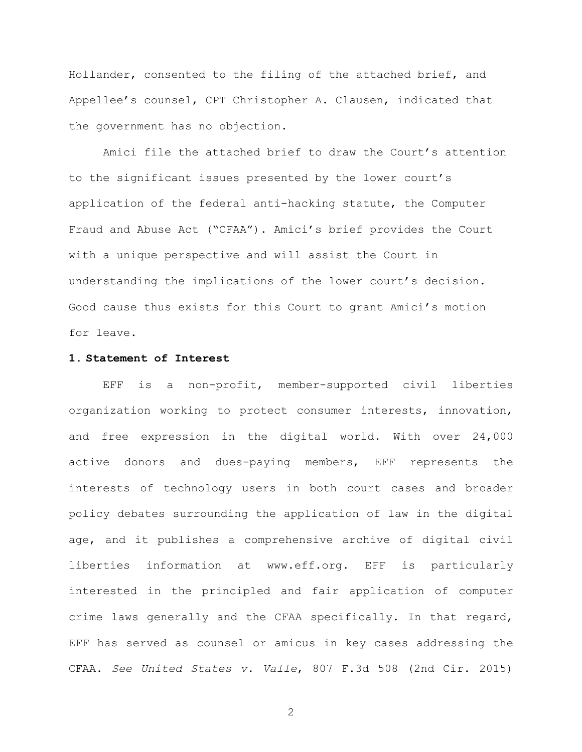Hollander, consented to the filing of the attached brief, and Appellee's counsel, CPT Christopher A. Clausen, indicated that the government has no objection.

Amici file the attached brief to draw the Court's attention to the significant issues presented by the lower court's application of the federal anti-hacking statute, the Computer Fraud and Abuse Act ("CFAA"). Amici's brief provides the Court with a unique perspective and will assist the Court in understanding the implications of the lower court's decision. Good cause thus exists for this Court to grant Amici's motion for leave.

#### **1. Statement of Interest**

EFF is a non-profit, member-supported civil liberties organization working to protect consumer interests, innovation, and free expression in the digital world. With over 24,000 active donors and dues-paying members, EFF represents the interests of technology users in both court cases and broader policy debates surrounding the application of law in the digital age, and it publishes a comprehensive archive of digital civil liberties information at www.eff.org. EFF is particularly interested in the principled and fair application of computer crime laws generally and the CFAA specifically. In that regard, EFF has served as counsel or amicus in key cases addressing the CFAA. *See United States v. Valle*, 807 F.3d 508 (2nd Cir. 2015)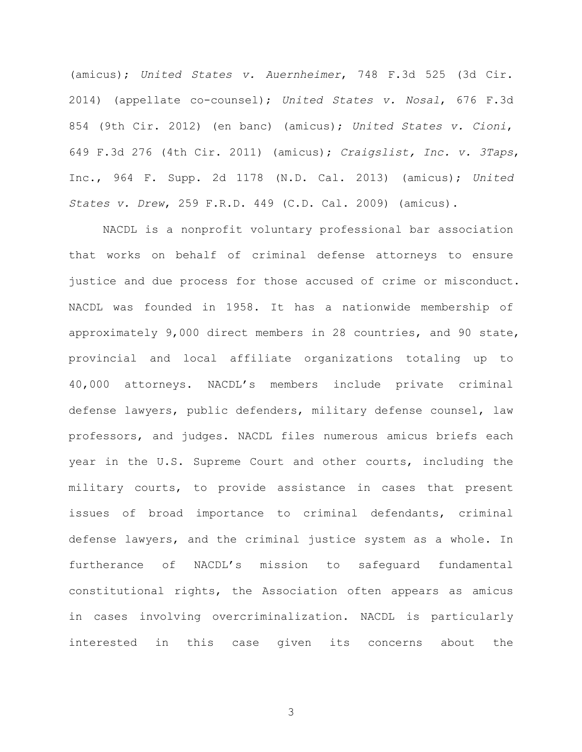(amicus); *United States v. Auernheimer*, 748 F.3d 525 (3d Cir. 2014) (appellate co-counsel); *United States v. Nosal*, 676 F.3d 854 (9th Cir. 2012) (en banc) (amicus); *United States v. Cioni*, 649 F.3d 276 (4th Cir. 2011) (amicus); *Craigslist, Inc. v. 3Taps*, Inc., 964 F. Supp. 2d 1178 (N.D. Cal. 2013) (amicus); *United States v. Drew*, 259 F.R.D. 449 (C.D. Cal. 2009) (amicus).

NACDL is a nonprofit voluntary professional bar association that works on behalf of criminal defense attorneys to ensure justice and due process for those accused of crime or misconduct. NACDL was founded in 1958. It has a nationwide membership of approximately 9,000 direct members in 28 countries, and 90 state, provincial and local affiliate organizations totaling up to 40,000 attorneys. NACDL's members include private criminal defense lawyers, public defenders, military defense counsel, law professors, and judges. NACDL files numerous amicus briefs each year in the U.S. Supreme Court and other courts, including the military courts, to provide assistance in cases that present issues of broad importance to criminal defendants, criminal defense lawyers, and the criminal justice system as a whole. In furtherance of NACDL's mission to safeguard fundamental constitutional rights, the Association often appears as amicus in cases involving overcriminalization. NACDL is particularly interested in this case given its concerns about the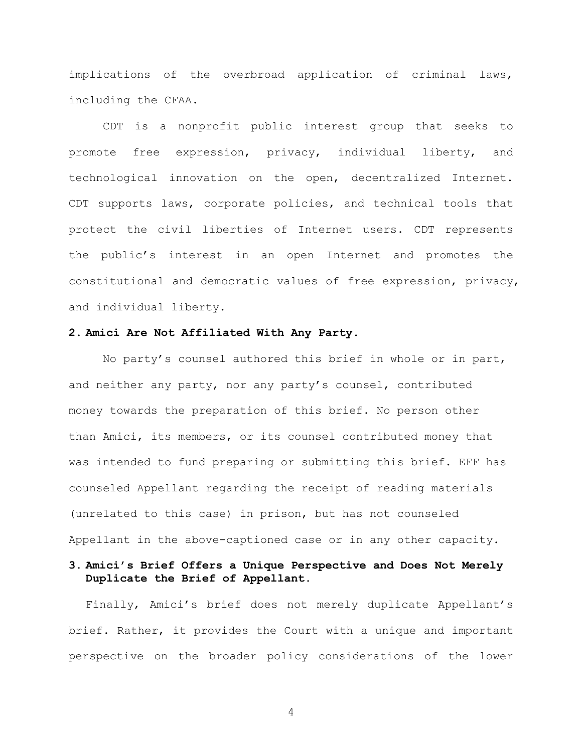implications of the overbroad application of criminal laws, including the CFAA.

CDT is a nonprofit public interest group that seeks to promote free expression, privacy, individual liberty, and technological innovation on the open, decentralized Internet. CDT supports laws, corporate policies, and technical tools that protect the civil liberties of Internet users. CDT represents the public's interest in an open Internet and promotes the constitutional and democratic values of free expression, privacy, and individual liberty.

#### **2. Amici Are Not Affiliated With Any Party.**

No party's counsel authored this brief in whole or in part, and neither any party, nor any party's counsel, contributed money towards the preparation of this brief. No person other than Amici, its members, or its counsel contributed money that was intended to fund preparing or submitting this brief. EFF has counseled Appellant regarding the receipt of reading materials (unrelated to this case) in prison, but has not counseled Appellant in the above-captioned case or in any other capacity.

# **3. Amici's Brief Offers a Unique Perspective and Does Not Merely Duplicate the Brief of Appellant.**

Finally, Amici's brief does not merely duplicate Appellant's brief. Rather, it provides the Court with a unique and important perspective on the broader policy considerations of the lower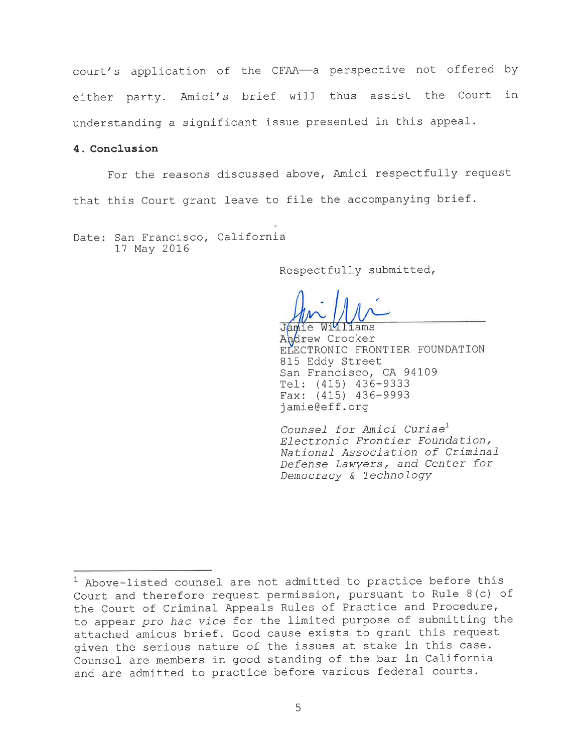court's application of the CFAA-a perspective not offered by either party. Amici's brief will thus assist the Court in understanding a significant issue presented in this appeal.

# 4. Conclusion

For the reasons discussed above, Amici respectfully request that this Court grant leave to file the accompanying brief.

Date: San Francisco, California 17 May 2016

Respectfully submitted,

Williams

Jamie Andrew Crocker ELECTRONIC FRONTIER FOUNDATION 815 Eddy Street San Francisco, CA 94109 Tel: (415) 436-9333 Fax: (415) 436-9993 jamie@eff.org

Counsel for Amici Curiae<sup>1</sup> Electronic Frontier Foundation, National Association of Criminal Defense Lawyers, and Center for Democracy & Technology

<sup>&</sup>lt;sup>1</sup> Above-listed counsel are not admitted to practice before this Court and therefore request permission, pursuant to Rule 8(c) of the Court of Criminal Appeals Rules of Practice and Procedure, to appear pro hac vice for the limited purpose of submitting the attached amicus brief. Good cause exists to grant this request given the serious nature of the issues at stake in this case. Counsel are members in good standing of the bar in California and are admitted to practice before various federal courts.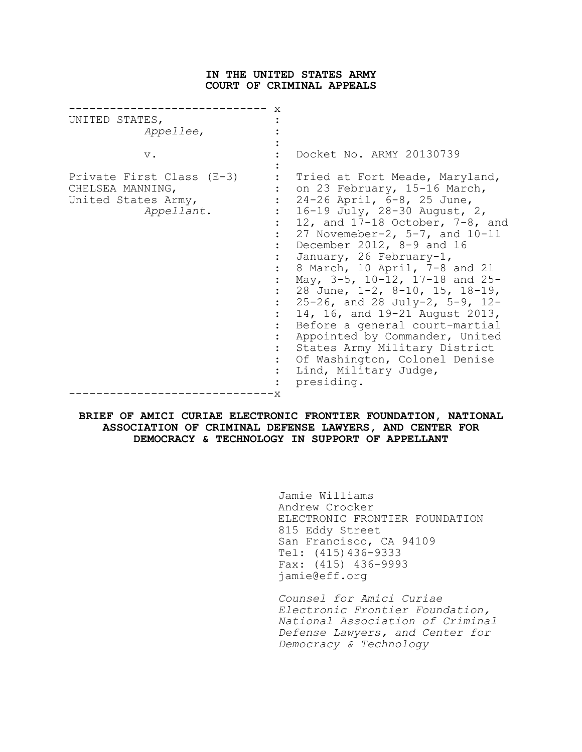### **IN THE UNITED STATES ARMY COURT OF CRIMINAL APPEALS**

| UNITED STATES,<br>Appellee,<br>$V$ .<br>Private First Class (E-3)<br>CHELSEA MANNING,<br>United States Army,<br>Appellant. | X | Docket No. ARMY 20130739<br>Tried at Fort Meade, Maryland,<br>on 23 February, 15-16 March,<br>24-26 April, 6-8, 25 June,<br>16-19 July, 28-30 August, 2,<br>12, and $17-18$ October, $7-8$ , and<br>27 Novemeber-2, $5-7$ , and $10-11$<br>December 2012, 8-9 and 16<br>January, 26 February-1,<br>8 March, 10 April, 7-8 and 21<br>May, 3-5, 10-12, 17-18 and 25- |
|----------------------------------------------------------------------------------------------------------------------------|---|--------------------------------------------------------------------------------------------------------------------------------------------------------------------------------------------------------------------------------------------------------------------------------------------------------------------------------------------------------------------|
|                                                                                                                            |   | 28 June, 1-2, 8-10, 15, 18-19,<br>$25-26$ , and 28 July-2, 5-9, 12-<br>14, 16, and 19-21 August 2013,                                                                                                                                                                                                                                                              |
|                                                                                                                            | X | Before a general court-martial<br>Appointed by Commander, United<br>States Army Military District<br>Of Washington, Colonel Denise<br>Lind, Military Judge,<br>presiding.                                                                                                                                                                                          |

### **BRIEF OF AMICI CURIAE ELECTRONIC FRONTIER FOUNDATION, NATIONAL ASSOCIATION OF CRIMINAL DEFENSE LAWYERS, AND CENTER FOR DEMOCRACY & TECHNOLOGY IN SUPPORT OF APPELLANT**

Jamie Williams Andrew Crocker ELECTRONIC FRONTIER FOUNDATION 815 Eddy Street San Francisco, CA 94109 Tel: (415)436-9333 Fax: (415) 436-9993 jamie@eff.org

*Counsel for Amici Curiae Electronic Frontier Foundation, National Association of Criminal Defense Lawyers, and Center for Democracy & Technology*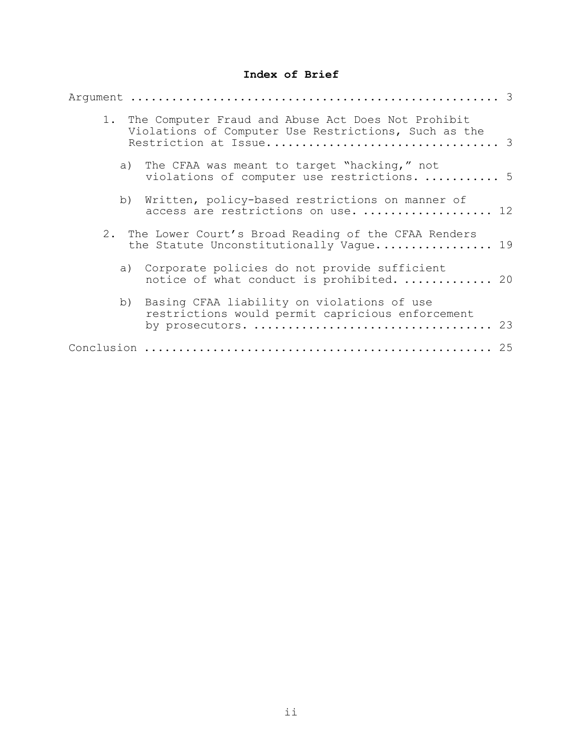# **Index of Brief**

|    | 1. The Computer Fraud and Abuse Act Does Not Prohibit<br>Violations of Computer Use Restrictions, Such as the |
|----|---------------------------------------------------------------------------------------------------------------|
| a) | The CFAA was meant to target "hacking," not<br>violations of computer use restrictions.  5                    |
| b) | Written, policy-based restrictions on manner of<br>access are restrictions on use.  12                        |
|    | 2. The Lower Court's Broad Reading of the CFAA Renders<br>the Statute Unconstitutionally Vague 19             |
|    | a) Corporate policies do not provide sufficient<br>notice of what conduct is prohibited.  20                  |
| b) | Basing CFAA liability on violations of use<br>restrictions would permit capricious enforcement                |
|    |                                                                                                               |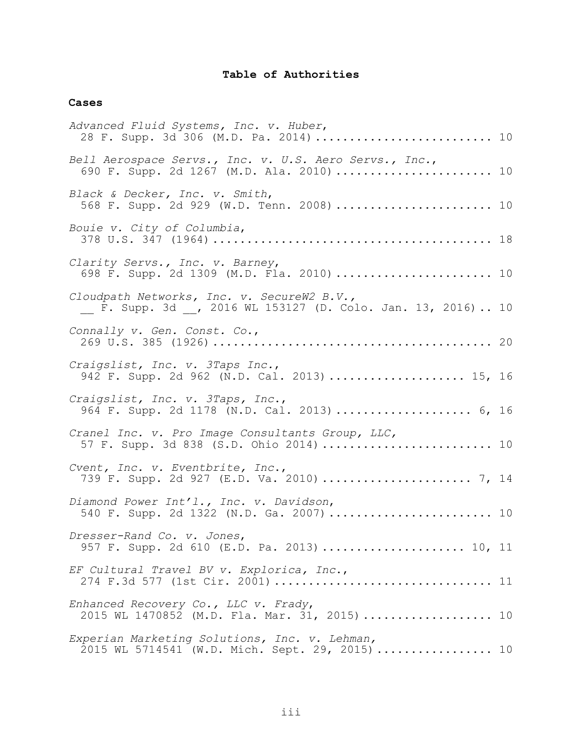# **Table of Authorities**

# **Cases**

| Advanced Fluid Systems, Inc. v. Huber,<br>28 F. Supp. 3d 306 (M.D. Pa. 2014)  10                          |  |
|-----------------------------------------------------------------------------------------------------------|--|
| Bell Aerospace Servs., Inc. v. U.S. Aero Servs., Inc.,<br>690 F. Supp. 2d 1267 (M.D. Ala. 2010)  10       |  |
| Black & Decker, Inc. v. Smith,<br>568 F. Supp. 2d 929 (W.D. Tenn. 2008)  10                               |  |
| Bouie v. City of Columbia,                                                                                |  |
| Clarity Servs., Inc. v. Barney,<br>698 F. Supp. 2d 1309 (M.D. Fla. 2010)  10                              |  |
| Cloudpath Networks, Inc. v. SecureW2 B.V.,<br>_ F. Supp. 3d _, 2016 WL 153127 (D. Colo. Jan. 13, 2016) 10 |  |
| Connally v. Gen. Const. Co.,                                                                              |  |
| Craigslist, Inc. v. 3Taps Inc.,<br>942 F. Supp. 2d 962 (N.D. Cal. 2013)  15, 16                           |  |
| Craigslist, Inc. v. 3Taps, Inc.,<br>964 F. Supp. 2d 1178 (N.D. Cal. 2013)  6, 16                          |  |
| Cranel Inc. v. Pro Image Consultants Group, LLC,<br>57 F. Supp. 3d 838 (S.D. Ohio 2014)  10               |  |
| Cvent, Inc. v. Eventbrite, Inc.,<br>739 F. Supp. 2d 927 (E.D. Va. 2010)  7, 14                            |  |
| Diamond Power Int'l., Inc. v. Davidson,<br>540 F. Supp. 2d 1322 (N.D. Ga. 2007)  10                       |  |
| Dresser-Rand Co. v. Jones,<br>957 F. Supp. 2d 610 (E.D. Pa. 2013)  10, 11                                 |  |
| EF Cultural Travel BV v. Explorica, Inc.,<br>274 F.3d 577 (1st Cir. 2001)  11                             |  |
| Enhanced Recovery Co., LLC v. Frady,<br>2015 WL 1470852 (M.D. Fla. Mar. 31, 2015)  10                     |  |
| Experian Marketing Solutions, Inc. v. Lehman,<br>2015 WL 5714541 (W.D. Mich. Sept. 29, 2015)  10          |  |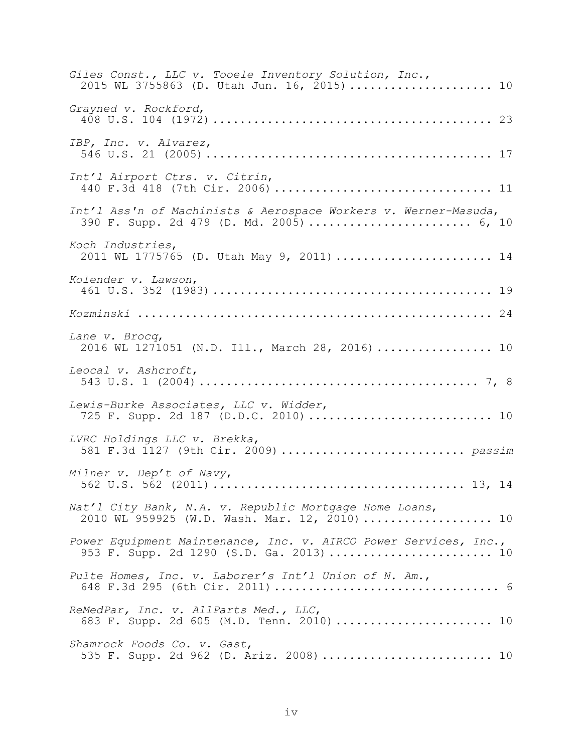| Giles Const., LLC v. Tooele Inventory Solution, Inc.,<br>2015 WL 3755863 (D. Utah Jun. 16, 2015) 10          |
|--------------------------------------------------------------------------------------------------------------|
| Grayned v. Rockford,                                                                                         |
| IBP, Inc. v. Alvarez,                                                                                        |
| Int'l Airport Ctrs. v. Citrin,                                                                               |
| Int'l Ass'n of Machinists & Aerospace Workers v. Werner-Masuda,<br>390 F. Supp. 2d 479 (D. Md. 2005)  6, 10  |
| Koch Industries,<br>2011 WL 1775765 (D. Utah May 9, 2011)  14                                                |
| Kolender v. Lawson,                                                                                          |
|                                                                                                              |
| Lane v. Brocq,<br>2016 WL 1271051 (N.D. Ill., March 28, 2016)  10                                            |
| Leocal v. Ashcroft,                                                                                          |
| Lewis-Burke Associates, LLC v. Widder,                                                                       |
| LVRC Holdings LLC v. Brekka,<br>581 F.3d 1127 (9th Cir. 2009)  passim                                        |
| Milner v. Dep't of Navy,                                                                                     |
| Nat'l City Bank, N.A. v. Republic Mortgage Home Loans,<br>2010 WL 959925 (W.D. Wash. Mar. 12, 2010)  10      |
| Power Equipment Maintenance, Inc. v. AIRCO Power Services, Inc.,<br>953 F. Supp. 2d 1290 (S.D. Ga. 2013)  10 |
| Pulte Homes, Inc. v. Laborer's Int'l Union of N. Am.,                                                        |
| ReMedPar, Inc. v. AllParts Med., LLC,<br>683 F. Supp. 2d 605 (M.D. Tenn. 2010)  10                           |
| Shamrock Foods Co. v. Gast,<br>535 F. Supp. 2d 962 (D. Ariz. 2008)  10                                       |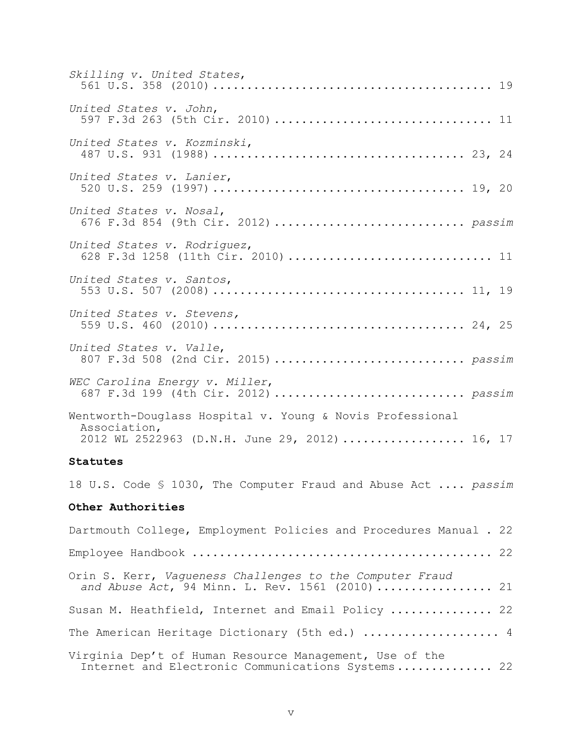| Skilling v. United States,                                                                                                  |
|-----------------------------------------------------------------------------------------------------------------------------|
| United States v. John,<br>597 F.3d 263 (5th Cir. 2010)  11                                                                  |
| United States v. Kozminski,                                                                                                 |
| United States v. Lanier,                                                                                                    |
| United States v. Nosal,<br>676 F.3d 854 (9th Cir. 2012)  passim                                                             |
| United States v. Rodriquez,<br>628 F.3d 1258 (11th Cir. 2010)  11                                                           |
| United States v. Santos,                                                                                                    |
| United States v. Stevens,                                                                                                   |
| United States v. Valle,<br>807 F.3d 508 (2nd Cir. 2015)  passim                                                             |
| WEC Carolina Energy v. Miller,<br>687 F.3d 199 (4th Cir. 2012)  passim                                                      |
| Wentworth-Douglass Hospital v. Young & Novis Professional<br>Association,<br>2012 WL 2522963 (D.N.H. June 29, 2012)  16, 17 |
| Statutes                                                                                                                    |
| 18 U.S. Code § 1030, The Computer Fraud and Abuse Act  passim                                                               |
| Other Authorities                                                                                                           |
| Dartmouth College, Employment Policies and Procedures Manual . 22                                                           |
|                                                                                                                             |
| Orin S. Kerr, Vagueness Challenges to the Computer Fraud<br>and Abuse Act, 94 Minn. L. Rev. 1561 (2010)  21                 |
| Susan M. Heathfield, Internet and Email Policy  22                                                                          |

The American Heritage Dictionary (5th ed.) ..................... 4

Virginia Dep't of Human Resource Management, Use of the Internet and Electronic Communications Systems............... 22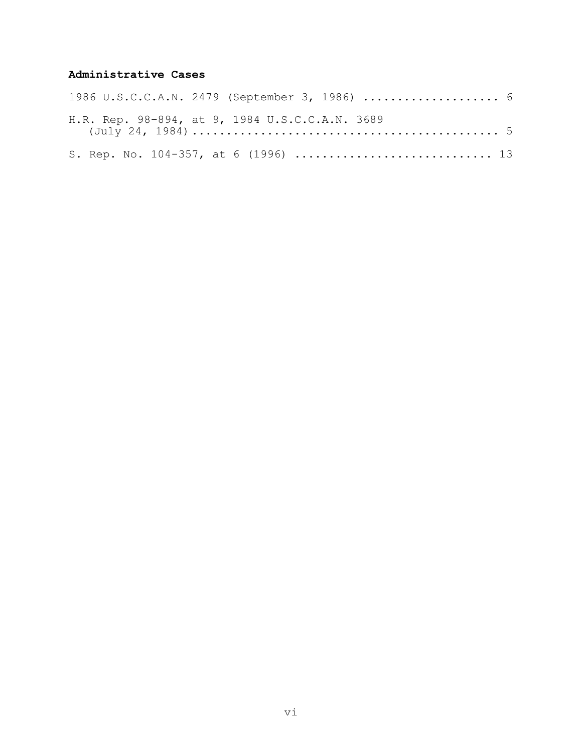# **Administrative Cases**

|  |  |  | 1986 U.S.C.C.A.N. 2479 (September 3, 1986)  6  |  |  |  |  |  |
|--|--|--|------------------------------------------------|--|--|--|--|--|
|  |  |  | H.R. Rep. 98-894, at 9, 1984 U.S.C.C.A.N. 3689 |  |  |  |  |  |
|  |  |  | S. Rep. No. 104-357, at 6 (1996)  13           |  |  |  |  |  |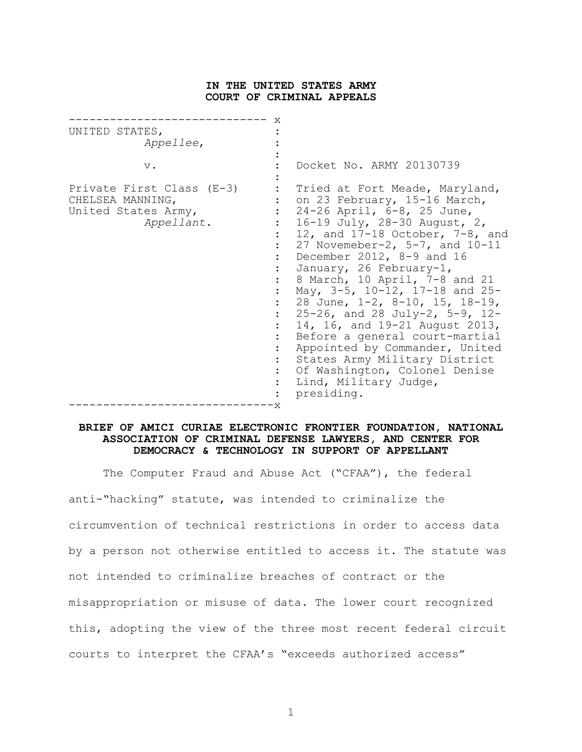#### **IN THE UNITED STATES ARMY COURT OF CRIMINAL APPEALS**

| UNITED STATES,<br>Appellee,<br>$V$ .<br>Private First Class (E-3)<br>CHELSEA MANNING,<br>United States Army,<br>Appellant. | X  | Docket No. ARMY 20130739<br>Tried at Fort Meade, Maryland,<br>on 23 February, 15-16 March,<br>24-26 April, 6-8, 25 June,<br>16-19 July, 28-30 August, 2,<br>12, and $17-18$ October, $7-8$ , and<br>27 Novemeber-2, $5-7$ , and $10-11$<br>December 2012, 8-9 and 16<br>January, 26 February-1,<br>8 March, 10 April, 7-8 and 21<br>May, 3-5, 10-12, 17-18 and 25-<br>28 June, 1-2, 8-10, 15, 18-19,<br>$25 - 26$ , and 28 July-2, 5-9, 12-<br>14, 16, and 19-21 August 2013,<br>Before a general court-martial<br>Appointed by Commander, United<br>States Army Military District |
|----------------------------------------------------------------------------------------------------------------------------|----|------------------------------------------------------------------------------------------------------------------------------------------------------------------------------------------------------------------------------------------------------------------------------------------------------------------------------------------------------------------------------------------------------------------------------------------------------------------------------------------------------------------------------------------------------------------------------------|
|                                                                                                                            | 'Χ | Of Washington, Colonel Denise<br>Lind, Military Judge,<br>presiding.                                                                                                                                                                                                                                                                                                                                                                                                                                                                                                               |

### **BRIEF OF AMICI CURIAE ELECTRONIC FRONTIER FOUNDATION, NATIONAL ASSOCIATION OF CRIMINAL DEFENSE LAWYERS, AND CENTER FOR DEMOCRACY & TECHNOLOGY IN SUPPORT OF APPELLANT**

The Computer Fraud and Abuse Act ("CFAA"), the federal anti-"hacking" statute, was intended to criminalize the circumvention of technical restrictions in order to access data by a person not otherwise entitled to access it. The statute was not intended to criminalize breaches of contract or the misappropriation or misuse of data. The lower court recognized this, adopting the view of the three most recent federal circuit courts to interpret the CFAA's "exceeds authorized access"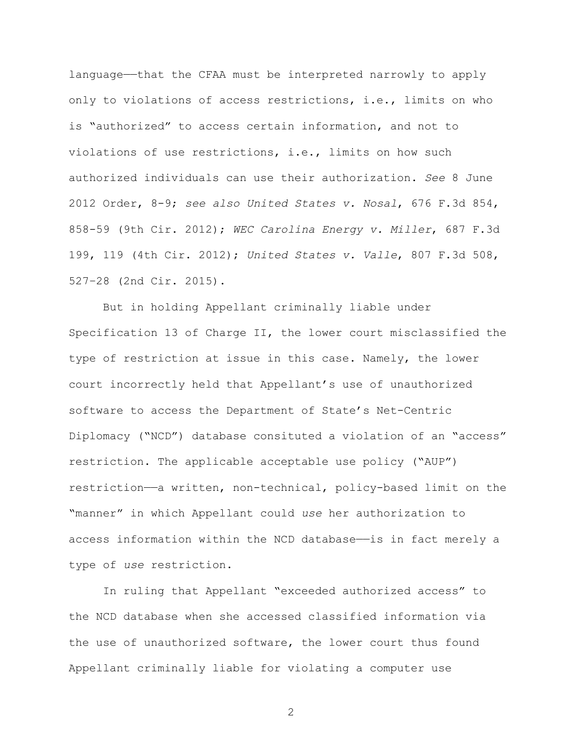language——that the CFAA must be interpreted narrowly to apply only to violations of access restrictions, i.e., limits on who is "authorized" to access certain information, and not to violations of use restrictions, i.e., limits on how such authorized individuals can use their authorization. *See* 8 June 2012 Order, 8-9; *see also United States v. Nosal*, 676 F.3d 854, 858-59 (9th Cir. 2012); *WEC Carolina Energy v. Miller*, 687 F.3d 199, 119 (4th Cir. 2012); *United States v. Valle*, 807 F.3d 508, 527–28 (2nd Cir. 2015).

But in holding Appellant criminally liable under Specification 13 of Charge II, the lower court misclassified the type of restriction at issue in this case. Namely, the lower court incorrectly held that Appellant's use of unauthorized software to access the Department of State's Net-Centric Diplomacy ("NCD") database consituted a violation of an "access" restriction. The applicable acceptable use policy ("AUP") restriction——a written, non-technical, policy-based limit on the "manner" in which Appellant could *use* her authorization to access information within the NCD database—is in fact merely a type of *use* restriction.

In ruling that Appellant "exceeded authorized access" to the NCD database when she accessed classified information via the use of unauthorized software, the lower court thus found Appellant criminally liable for violating a computer use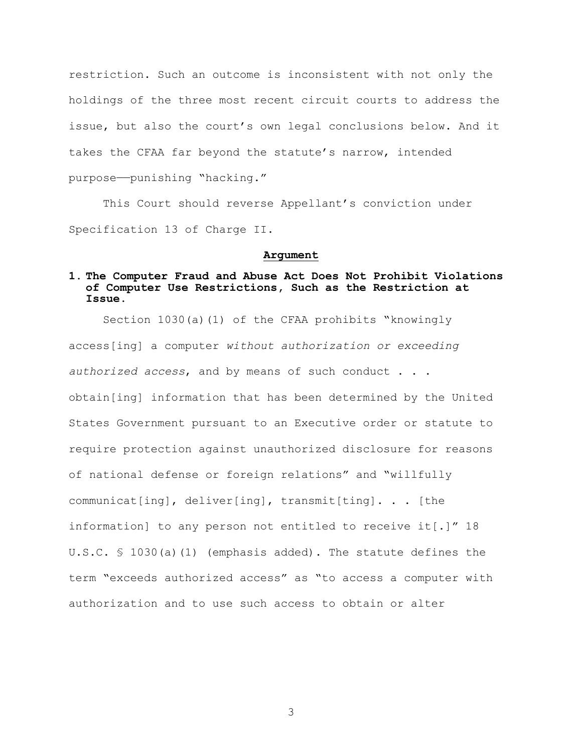restriction. Such an outcome is inconsistent with not only the holdings of the three most recent circuit courts to address the issue, but also the court's own legal conclusions below. And it takes the CFAA far beyond the statute's narrow, intended purpose——punishing "hacking."

This Court should reverse Appellant's conviction under Specification 13 of Charge II.

### **Argument**

# **1. The Computer Fraud and Abuse Act Does Not Prohibit Violations of Computer Use Restrictions, Such as the Restriction at Issue.**

Section 1030(a)(1) of the CFAA prohibits "knowingly access[ing] a computer *without authorization or exceeding authorized access*, and by means of such conduct . . . obtain[ing] information that has been determined by the United States Government pursuant to an Executive order or statute to require protection against unauthorized disclosure for reasons of national defense or foreign relations" and "willfully communicat[ing], deliver[ing], transmit[ting]. . . [the information] to any person not entitled to receive it[.]" 18 U.S.C. § 1030(a)(1) (emphasis added). The statute defines the term "exceeds authorized access" as "to access a computer with authorization and to use such access to obtain or alter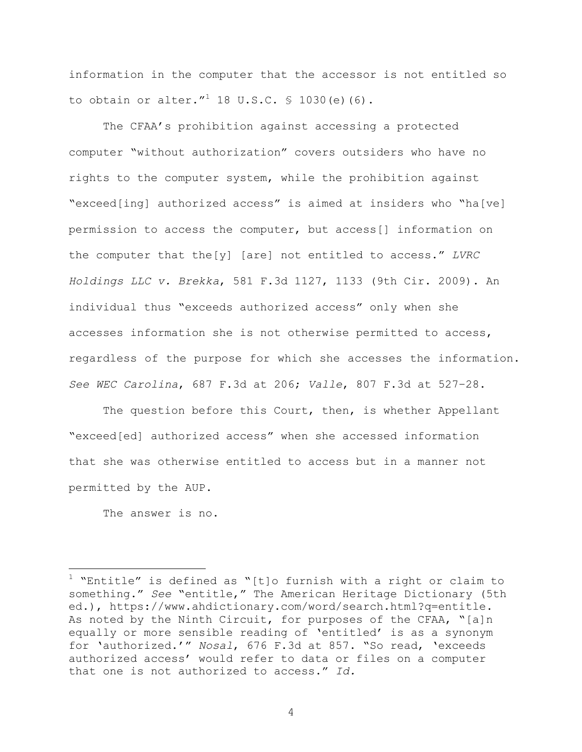information in the computer that the accessor is not entitled so to obtain or alter."<sup>1</sup> 18 U.S.C.  $\frac{1}{5}$  1030(e)(6).

The CFAA's prohibition against accessing a protected computer "without authorization" covers outsiders who have no rights to the computer system, while the prohibition against "exceed[ing] authorized access" is aimed at insiders who "ha[ve] permission to access the computer, but access[] information on the computer that the[y] [are] not entitled to access." *LVRC Holdings LLC v. Brekka*, 581 F.3d 1127, 1133 (9th Cir. 2009). An individual thus "exceeds authorized access" only when she accesses information she is not otherwise permitted to access, regardless of the purpose for which she accesses the information. *See WEC Carolina*, 687 F.3d at 206; *Valle*, 807 F.3d at 527–28.

The question before this Court, then, is whether Appellant "exceed[ed] authorized access" when she accessed information that she was otherwise entitled to access but in a manner not permitted by the AUP.

The answer is no.

1

 $1$  "Entitle" is defined as "[t]o furnish with a right or claim to something." *See* "entitle," The American Heritage Dictionary (5th ed.), https://www.ahdictionary.com/word/search.html?q=entitle. As noted by the Ninth Circuit, for purposes of the CFAA, "[a]n equally or more sensible reading of 'entitled' is as a synonym for 'authorized.'" *Nosal*, 676 F.3d at 857. "So read, 'exceeds authorized access' would refer to data or files on a computer that one is not authorized to access." *Id.*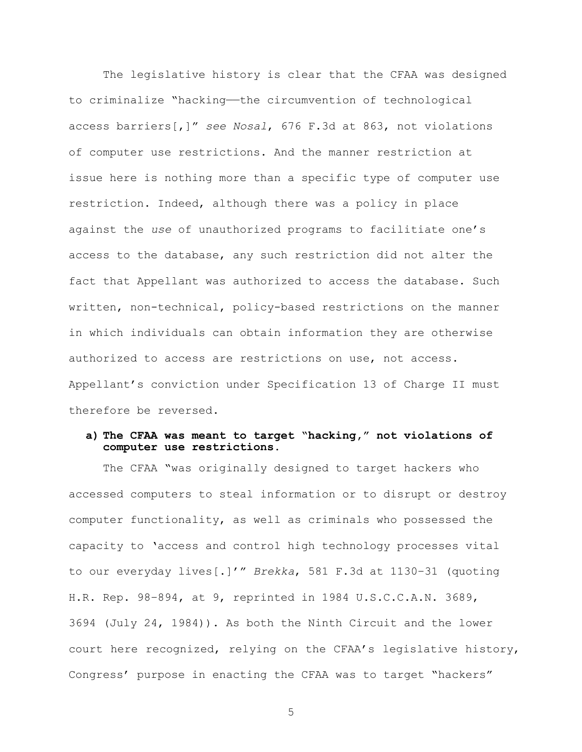The legislative history is clear that the CFAA was designed to criminalize "hacking—the circumvention of technological access barriers[,]" *see Nosal*, 676 F.3d at 863, not violations of computer use restrictions. And the manner restriction at issue here is nothing more than a specific type of computer use restriction. Indeed, although there was a policy in place against the *use* of unauthorized programs to facilitiate one's access to the database, any such restriction did not alter the fact that Appellant was authorized to access the database. Such written, non-technical, policy-based restrictions on the manner in which individuals can obtain information they are otherwise authorized to access are restrictions on use, not access. Appellant's conviction under Specification 13 of Charge II must therefore be reversed.

### **a) The CFAA was meant to target "hacking," not violations of computer use restrictions.**

The CFAA "was originally designed to target hackers who accessed computers to steal information or to disrupt or destroy computer functionality, as well as criminals who possessed the capacity to 'access and control high technology processes vital to our everyday lives[.]'" *Brekka*, 581 F.3d at 1130–31 (quoting H.R. Rep. 98–894, at 9, reprinted in 1984 U.S.C.C.A.N. 3689, 3694 (July 24, 1984)). As both the Ninth Circuit and the lower court here recognized, relying on the CFAA's legislative history, Congress' purpose in enacting the CFAA was to target "hackers"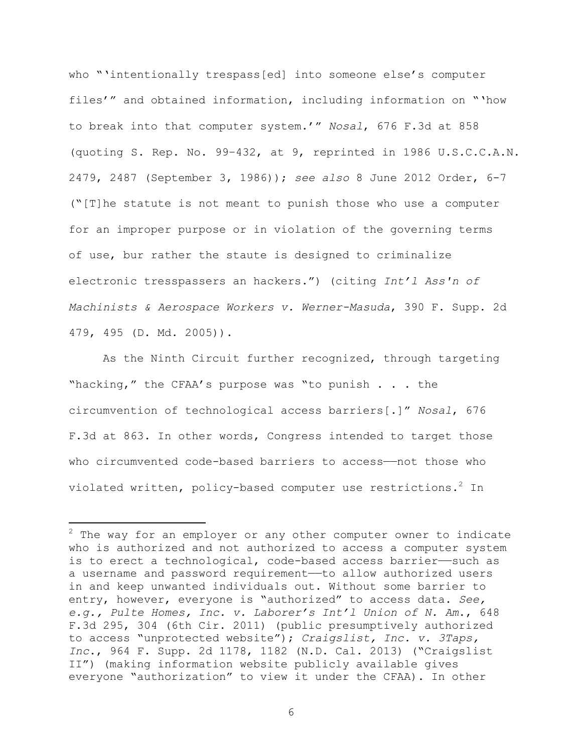who "'intentionally trespass[ed] into someone else's computer files'" and obtained information, including information on "'how to break into that computer system.'" *Nosal*, 676 F.3d at 858 (quoting S. Rep. No. 99–432, at 9, reprinted in 1986 U.S.C.C.A.N. 2479, 2487 (September 3, 1986)); *see also* 8 June 2012 Order, 6-7 ("[T]he statute is not meant to punish those who use a computer for an improper purpose or in violation of the governing terms of use, bur rather the staute is designed to criminalize electronic tresspassers an hackers.") (citing *Int'l Ass'n of Machinists & Aerospace Workers v. Werner-Masuda*, 390 F. Supp. 2d 479, 495 (D. Md. 2005)).

As the Ninth Circuit further recognized, through targeting "hacking," the CFAA's purpose was "to punish . . . the circumvention of technological access barriers[.]" *Nosal*, 676 F.3d at 863. In other words, Congress intended to target those who circumvented code-based barriers to access-not those who violated written, policy-based computer use restrictions.<sup>2</sup> In

1

 $2$  The way for an employer or any other computer owner to indicate who is authorized and not authorized to access a computer system is to erect a technological, code-based access barrier——such as a username and password requirement—to allow authorized users in and keep unwanted individuals out. Without some barrier to entry, however, everyone is "authorized" to access data. *See, e.g., Pulte Homes, Inc. v. Laborer's Int'l Union of N. Am*., 648 F.3d 295, 304 (6th Cir. 2011) (public presumptively authorized to access "unprotected website"); *Craigslist, Inc. v. 3Taps, Inc*., 964 F. Supp. 2d 1178, 1182 (N.D. Cal. 2013) ("Craigslist II") (making information website publicly available gives everyone "authorization" to view it under the CFAA). In other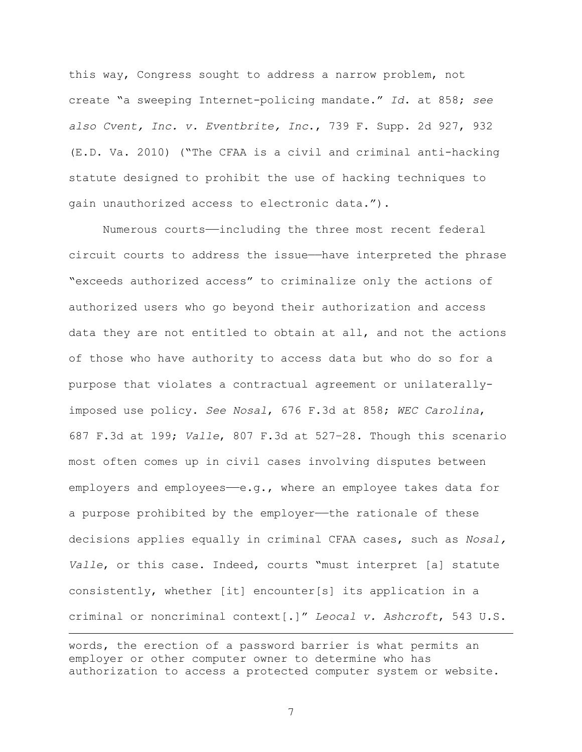this way, Congress sought to address a narrow problem, not create "a sweeping Internet-policing mandate." *Id*. at 858; *see also Cvent, Inc. v. Eventbrite, Inc*., 739 F. Supp. 2d 927, 932 (E.D. Va. 2010) ("The CFAA is a civil and criminal anti-hacking statute designed to prohibit the use of hacking techniques to gain unauthorized access to electronic data.").

Numerous courts——including the three most recent federal circuit courts to address the issue——have interpreted the phrase "exceeds authorized access" to criminalize only the actions of authorized users who go beyond their authorization and access data they are not entitled to obtain at all, and not the actions of those who have authority to access data but who do so for a purpose that violates a contractual agreement or unilaterallyimposed use policy. *See Nosal*, 676 F.3d at 858; *WEC Carolina*, 687 F.3d at 199; *Valle*, 807 F.3d at 527–28. Though this scenario most often comes up in civil cases involving disputes between employers and employees—e.g., where an employee takes data for a purpose prohibited by the employer—the rationale of these decisions applies equally in criminal CFAA cases, such as *Nosal, Valle*, or this case. Indeed, courts "must interpret [a] statute consistently, whether [it] encounter[s] its application in a criminal or noncriminal context[.]" *Leocal v. Ashcroft*, 543 U.S.

1

words, the erection of a password barrier is what permits an employer or other computer owner to determine who has authorization to access a protected computer system or website.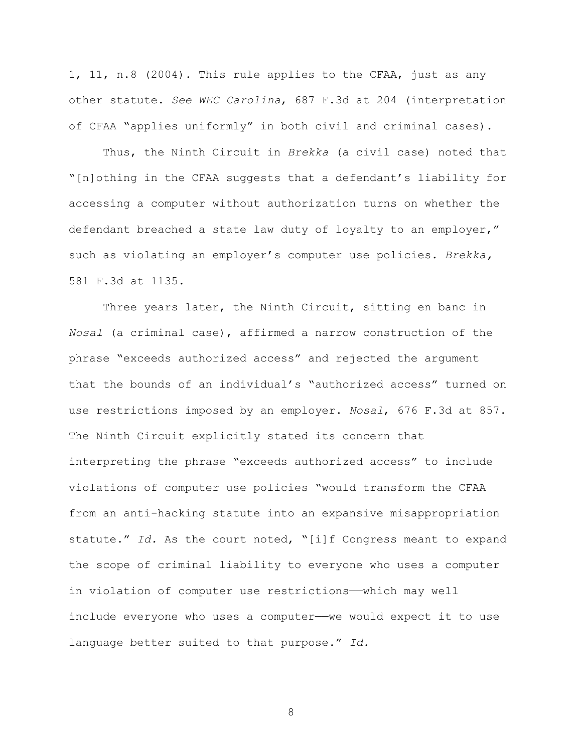1, 11, n.8 (2004). This rule applies to the CFAA, just as any other statute. *See WEC Carolina*, 687 F.3d at 204 (interpretation of CFAA "applies uniformly" in both civil and criminal cases).

Thus, the Ninth Circuit in *Brekka* (a civil case) noted that "[n]othing in the CFAA suggests that a defendant's liability for accessing a computer without authorization turns on whether the defendant breached a state law duty of loyalty to an employer," such as violating an employer's computer use policies. *Brekka,*  581 F.3d at 1135.

Three years later, the Ninth Circuit, sitting en banc in *Nosal* (a criminal case), affirmed a narrow construction of the phrase "exceeds authorized access" and rejected the argument that the bounds of an individual's "authorized access" turned on use restrictions imposed by an employer. *Nosal*, 676 F.3d at 857. The Ninth Circuit explicitly stated its concern that interpreting the phrase "exceeds authorized access" to include violations of computer use policies "would transform the CFAA from an anti-hacking statute into an expansive misappropriation statute." *Id.* As the court noted, "[i]f Congress meant to expand the scope of criminal liability to everyone who uses a computer in violation of computer use restrictions——which may well include everyone who uses a computer——we would expect it to use language better suited to that purpose." *Id.*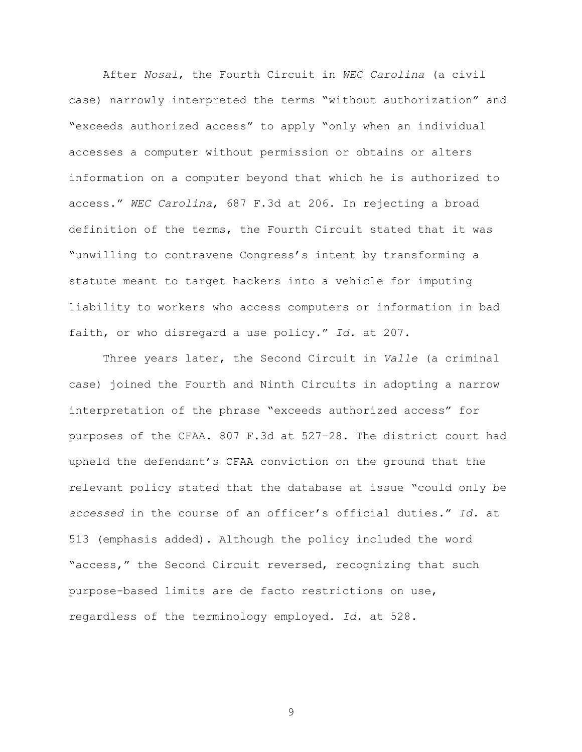After *Nosal*, the Fourth Circuit in *WEC Carolina* (a civil case) narrowly interpreted the terms "without authorization" and "exceeds authorized access" to apply "only when an individual accesses a computer without permission or obtains or alters information on a computer beyond that which he is authorized to access." *WEC Carolina*, 687 F.3d at 206. In rejecting a broad definition of the terms, the Fourth Circuit stated that it was "unwilling to contravene Congress's intent by transforming a statute meant to target hackers into a vehicle for imputing liability to workers who access computers or information in bad faith, or who disregard a use policy." *Id.* at 207.

Three years later, the Second Circuit in *Valle* (a criminal case) joined the Fourth and Ninth Circuits in adopting a narrow interpretation of the phrase "exceeds authorized access" for purposes of the CFAA. 807 F.3d at 527–28. The district court had upheld the defendant's CFAA conviction on the ground that the relevant policy stated that the database at issue "could only be *accessed* in the course of an officer's official duties." *Id.* at 513 (emphasis added). Although the policy included the word "access," the Second Circuit reversed, recognizing that such purpose-based limits are de facto restrictions on use, regardless of the terminology employed. *Id.* at 528.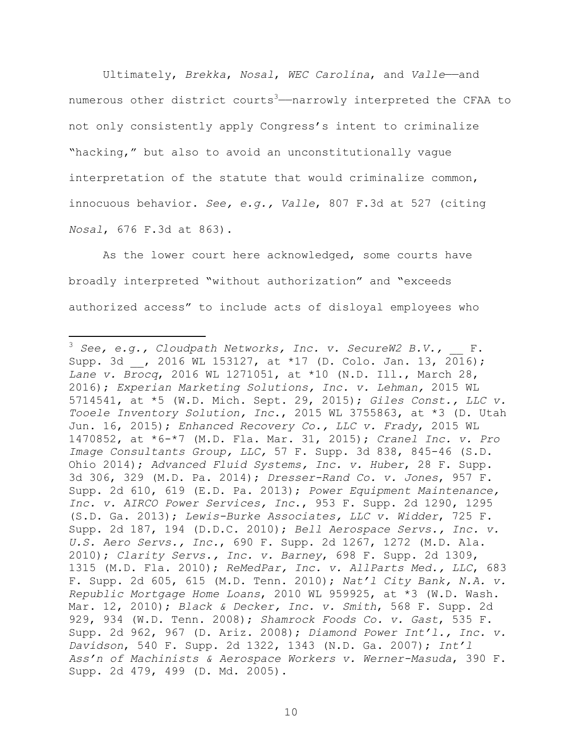Ultimately, *Brekka*, *Nosal*, *WEC Carolina*, and *Valle*——and numerous other district courts<sup>3</sup>—narrowly interpreted the CFAA to not only consistently apply Congress's intent to criminalize "hacking," but also to avoid an unconstitutionally vague interpretation of the statute that would criminalize common, innocuous behavior. *See, e.g., Valle*, 807 F.3d at 527 (citing *Nosal*, 676 F.3d at 863).

As the lower court here acknowledged, some courts have broadly interpreted "without authorization" and "exceeds authorized access" to include acts of disloyal employees who

 $3$  See, e.g., Cloudpath Networks, Inc. v. SecureW2 B.V., \_\_ F. Supp. 3d , 2016 WL 153127, at \*17 (D. Colo. Jan. 13, 2016); *Lane v. Brocq*, 2016 WL 1271051, at \*10 (N.D. Ill., March 28, 2016); *Experian Marketing Solutions, Inc. v. Lehman,* 2015 WL 5714541, at \*5 (W.D. Mich. Sept. 29, 2015); *Giles Const., LLC v. Tooele Inventory Solution, Inc*., 2015 WL 3755863, at \*3 (D. Utah Jun. 16, 2015); *Enhanced Recovery Co., LLC v. Frady*, 2015 WL 1470852, at \*6-\*7 (M.D. Fla. Mar. 31, 2015); *Cranel Inc. v. Pro Image Consultants Group, LLC,* 57 F. Supp. 3d 838, 845-46 (S.D. Ohio 2014); *Advanced Fluid Systems, Inc. v. Huber*, 28 F. Supp. 3d 306, 329 (M.D. Pa. 2014); *Dresser-Rand Co. v. Jones*, 957 F. Supp. 2d 610, 619 (E.D. Pa. 2013); *Power Equipment Maintenance, Inc. v. AIRCO Power Services, Inc*., 953 F. Supp. 2d 1290, 1295 (S.D. Ga. 2013); *Lewis-Burke Associates, LLC v. Widder*, 725 F. Supp. 2d 187, 194 (D.D.C. 2010); *Bell Aerospace Servs., Inc. v. U.S. Aero Servs., Inc.*, 690 F. Supp. 2d 1267, 1272 (M.D. Ala. 2010); *Clarity Servs., Inc. v. Barney*, 698 F. Supp. 2d 1309, 1315 (M.D. Fla. 2010); *ReMedPar, Inc. v. AllParts Med., LLC*, 683 F. Supp. 2d 605, 615 (M.D. Tenn. 2010); *Nat'l City Bank, N.A. v. Republic Mortgage Home Loans*, 2010 WL 959925, at \*3 (W.D. Wash. Mar. 12, 2010); *Black & Decker, Inc. v. Smith*, 568 F. Supp. 2d 929, 934 (W.D. Tenn. 2008); *Shamrock Foods Co. v. Gast*, 535 F. Supp. 2d 962, 967 (D. Ariz. 2008); *Diamond Power Int'l., Inc. v. Davidson*, 540 F. Supp. 2d 1322, 1343 (N.D. Ga. 2007); *Int'l Ass'n of Machinists & Aerospace Workers v. Werner-Masuda*, 390 F. Supp. 2d 479, 499 (D. Md. 2005).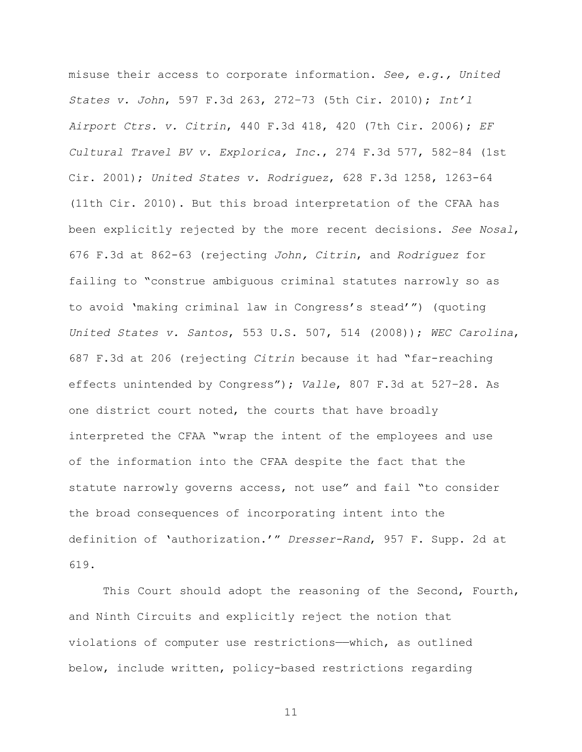misuse their access to corporate information. *See, e.g., United States v. John*, 597 F.3d 263, 272–73 (5th Cir. 2010); *Int'l Airport Ctrs. v. Citrin*, 440 F.3d 418, 420 (7th Cir. 2006); *EF Cultural Travel BV v. Explorica, Inc*., 274 F.3d 577, 582–84 (1st Cir. 2001); *United States v. Rodriguez*, 628 F.3d 1258, 1263-64 (11th Cir. 2010). But this broad interpretation of the CFAA has been explicitly rejected by the more recent decisions. *See Nosal*, 676 F.3d at 862-63 (rejecting *John, Citrin*, and *Rodriguez* for failing to "construe ambiguous criminal statutes narrowly so as to avoid 'making criminal law in Congress's stead'") (quoting *United States v. Santos*, 553 U.S. 507, 514 (2008)); *WEC Carolina*, 687 F.3d at 206 (rejecting *Citrin* because it had "far-reaching effects unintended by Congress"); *Valle*, 807 F.3d at 527–28. As one district court noted, the courts that have broadly interpreted the CFAA "wrap the intent of the employees and use of the information into the CFAA despite the fact that the statute narrowly governs access, not use" and fail "to consider the broad consequences of incorporating intent into the definition of 'authorization.'" *Dresser-Rand*, 957 F. Supp. 2d at 619.

This Court should adopt the reasoning of the Second, Fourth, and Ninth Circuits and explicitly reject the notion that violations of computer use restrictions——which, as outlined below, include written, policy-based restrictions regarding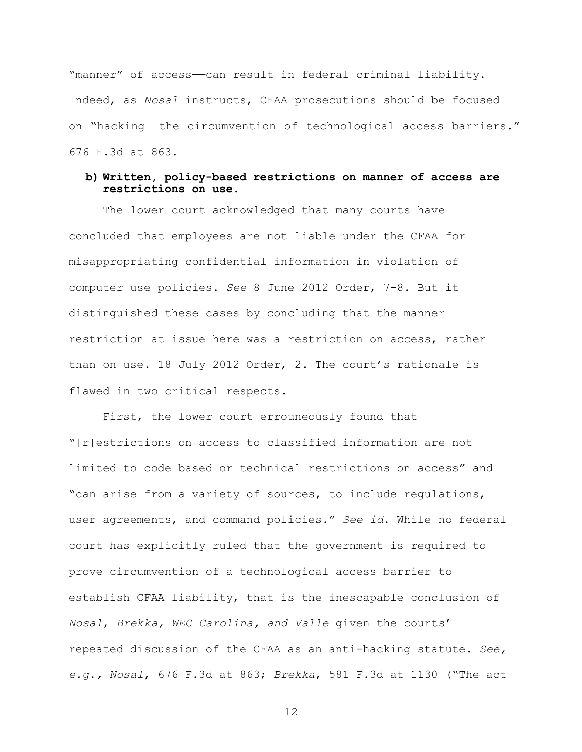"manner" of access-can result in federal criminal liability. Indeed, as *Nosal* instructs, CFAA prosecutions should be focused on "hacking—the circumvention of technological access barriers." 676 F.3d at 863.

# **b) Written, policy-based restrictions on manner of access are restrictions on use.**

The lower court acknowledged that many courts have concluded that employees are not liable under the CFAA for misappropriating confidential information in violation of computer use policies. *See* 8 June 2012 Order, 7-8. But it distinguished these cases by concluding that the manner restriction at issue here was a restriction on access, rather than on use. 18 July 2012 Order, 2. The court's rationale is flawed in two critical respects.

First, the lower court errouneously found that "[r]estrictions on access to classified information are not limited to code based or technical restrictions on access" and "can arise from a variety of sources, to include regulations, user agreements, and command policies." *See id*. While no federal court has explicitly ruled that the government is required to prove circumvention of a technological access barrier to establish CFAA liability, that is the inescapable conclusion of *Nosal*, *Brekka, WEC Carolina, and Valle* given the courts' repeated discussion of the CFAA as an anti-hacking statute. *See, e.g., Nosal*, 676 F.3d at 863; *Brekka*, 581 F.3d at 1130 ("The act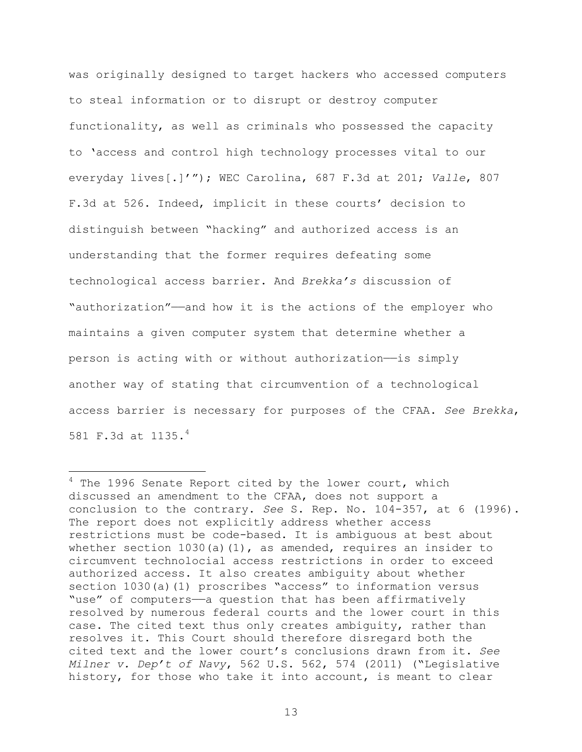was originally designed to target hackers who accessed computers to steal information or to disrupt or destroy computer functionality, as well as criminals who possessed the capacity to 'access and control high technology processes vital to our everyday lives[.]'"); WEC Carolina, 687 F.3d at 201; *Valle*, 807 F.3d at 526. Indeed, implicit in these courts' decision to distinguish between "hacking" and authorized access is an understanding that the former requires defeating some technological access barrier. And *Brekka's* discussion of "authorization"——and how it is the actions of the employer who maintains a given computer system that determine whether a person is acting with or without authorization—is simply another way of stating that circumvention of a technological access barrier is necessary for purposes of the CFAA. *See Brekka*, 581 F.3d at 1135.4

 $4$  The 1996 Senate Report cited by the lower court, which discussed an amendment to the CFAA, does not support a conclusion to the contrary. *See* S. Rep. No. 104-357, at 6 (1996). The report does not explicitly address whether access restrictions must be code-based. It is ambiguous at best about whether section 1030(a)(1), as amended, requires an insider to circumvent technolocial access restrictions in order to exceed authorized access. It also creates ambiguity about whether section 1030(a)(1) proscribes "access" to information versus "use" of computers—a question that has been affirmatively resolved by numerous federal courts and the lower court in this case. The cited text thus only creates ambiguity, rather than resolves it. This Court should therefore disregard both the cited text and the lower court's conclusions drawn from it. *See Milner v. Dep't of Navy*, 562 U.S. 562, 574 (2011) ("Legislative history, for those who take it into account, is meant to clear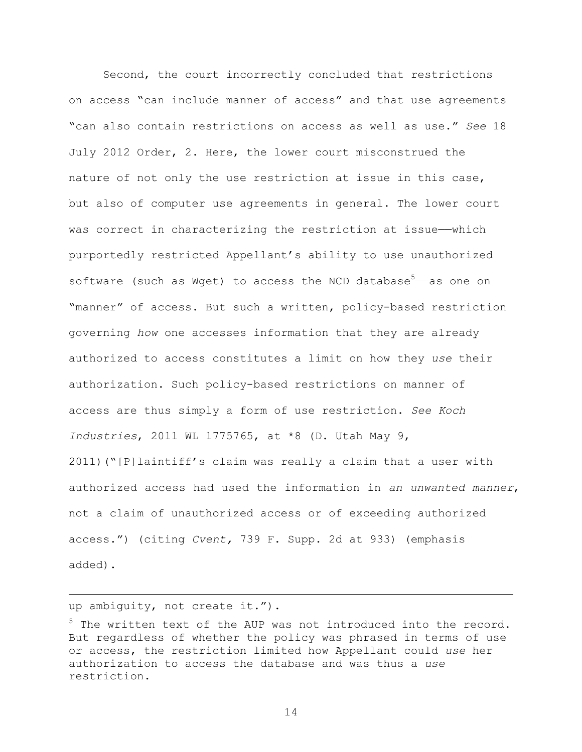Second, the court incorrectly concluded that restrictions on access "can include manner of access" and that use agreements "can also contain restrictions on access as well as use." *See* 18 July 2012 Order, 2. Here, the lower court misconstrued the nature of not only the use restriction at issue in this case, but also of computer use agreements in general. The lower court was correct in characterizing the restriction at issue-which purportedly restricted Appellant's ability to use unauthorized software (such as Wget) to access the NCD database<sup>5</sup>—as one on "manner" of access. But such a written, policy-based restriction governing *how* one accesses information that they are already authorized to access constitutes a limit on how they *use* their authorization. Such policy-based restrictions on manner of access are thus simply a form of use restriction. *See Koch Industries*, 2011 WL 1775765, at \*8 (D. Utah May 9, 2011)("[P]laintiff's claim was really a claim that a user with authorized access had used the information in *an unwanted manner*, not a claim of unauthorized access or of exceeding authorized access.") (citing *Cvent,* 739 F. Supp. 2d at 933) (emphasis added).

up ambiguity, not create it.").

1

<sup>&</sup>lt;sup>5</sup> The written text of the AUP was not introduced into the record. But regardless of whether the policy was phrased in terms of use or access, the restriction limited how Appellant could *use* her authorization to access the database and was thus a *use* restriction.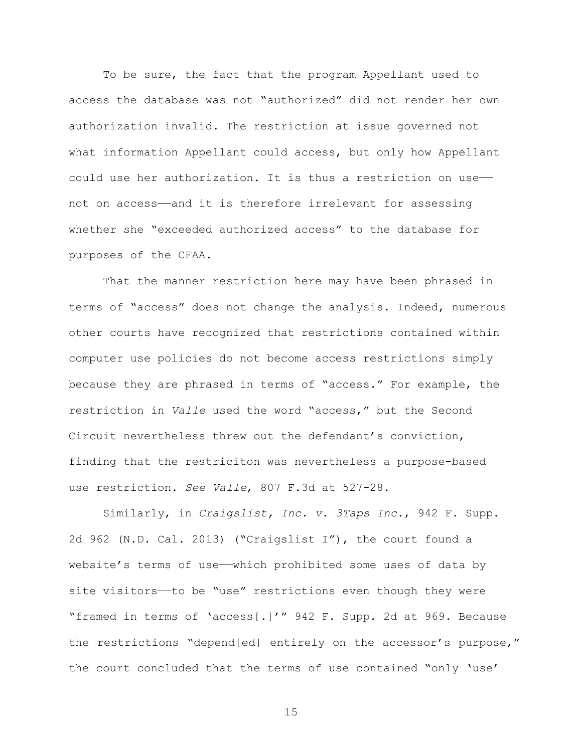To be sure, the fact that the program Appellant used to access the database was not "authorized" did not render her own authorization invalid. The restriction at issue governed not what information Appellant could access, but only how Appellant could use her authorization. It is thus a restriction on use— not on access——and it is therefore irrelevant for assessing whether she "exceeded authorized access" to the database for purposes of the CFAA.

That the manner restriction here may have been phrased in terms of "access" does not change the analysis. Indeed, numerous other courts have recognized that restrictions contained within computer use policies do not become access restrictions simply because they are phrased in terms of "access." For example, the restriction in *Valle* used the word "access," but the Second Circuit nevertheless threw out the defendant's conviction, finding that the restriciton was nevertheless a purpose-based use restriction. *See Valle*, 807 F.3d at 527-28.

Similarly, in *Craigslist, Inc. v. 3Taps Inc.*, 942 F. Supp. 2d 962 (N.D. Cal. 2013) ("Craigslist I"), the court found a website's terms of use—which prohibited some uses of data by site visitors—to be "use" restrictions even though they were "framed in terms of 'access[.]'" 942 F. Supp. 2d at 969. Because the restrictions "depend[ed] entirely on the accessor's purpose," the court concluded that the terms of use contained "only 'use'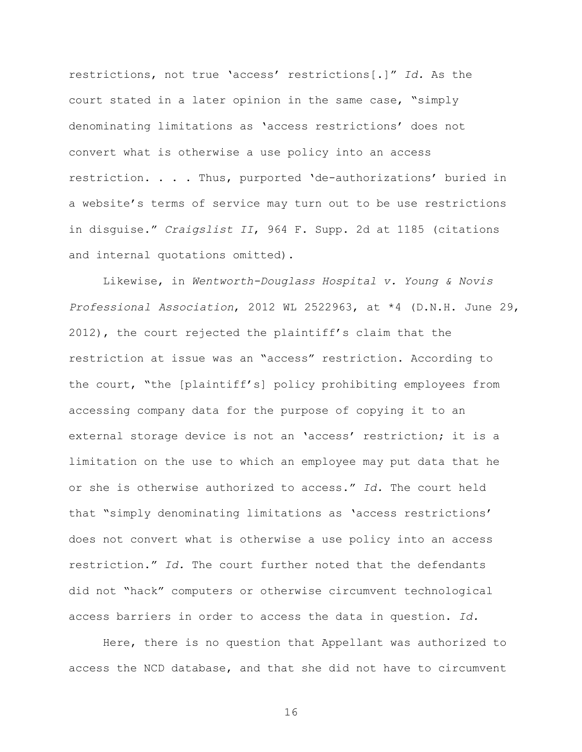restrictions, not true 'access' restrictions[.]" *Id.* As the court stated in a later opinion in the same case, "simply denominating limitations as 'access restrictions' does not convert what is otherwise a use policy into an access restriction. . . . Thus, purported 'de-authorizations' buried in a website's terms of service may turn out to be use restrictions in disguise." *Craigslist II*, 964 F. Supp. 2d at 1185 (citations and internal quotations omitted).

Likewise, in *Wentworth-Douglass Hospital v. Young & Novis Professional Association*, 2012 WL 2522963, at \*4 (D.N.H. June 29, 2012), the court rejected the plaintiff's claim that the restriction at issue was an "access" restriction. According to the court, "the [plaintiff's] policy prohibiting employees from accessing company data for the purpose of copying it to an external storage device is not an 'access' restriction; it is a limitation on the use to which an employee may put data that he or she is otherwise authorized to access." *Id.* The court held that "simply denominating limitations as 'access restrictions' does not convert what is otherwise a use policy into an access restriction." *Id.* The court further noted that the defendants did not "hack" computers or otherwise circumvent technological access barriers in order to access the data in question. *Id.*

Here, there is no question that Appellant was authorized to access the NCD database, and that she did not have to circumvent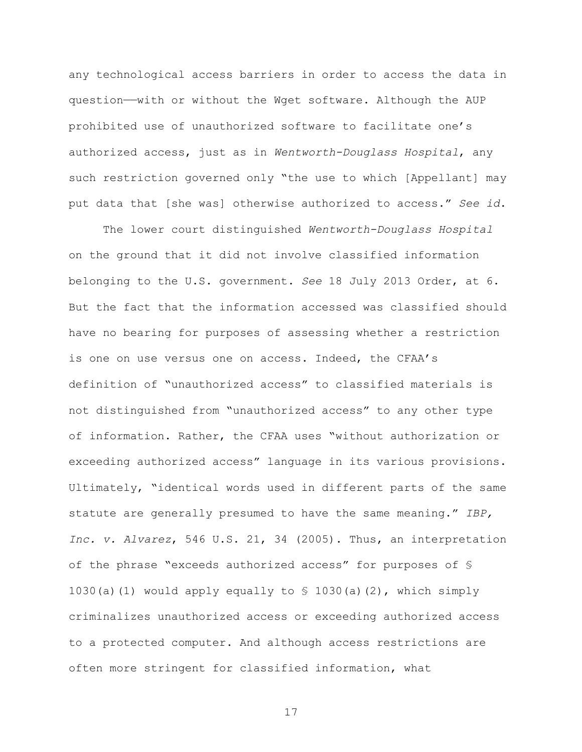any technological access barriers in order to access the data in question——with or without the Wget software. Although the AUP prohibited use of unauthorized software to facilitate one's authorized access, just as in *Wentworth-Douglass Hospital*, any such restriction governed only "the use to which [Appellant] may put data that [she was] otherwise authorized to access." *See id*.

The lower court distinguished *Wentworth-Douglass Hospital* on the ground that it did not involve classified information belonging to the U.S. government. *See* 18 July 2013 Order, at 6. But the fact that the information accessed was classified should have no bearing for purposes of assessing whether a restriction is one on use versus one on access. Indeed, the CFAA's definition of "unauthorized access" to classified materials is not distinguished from "unauthorized access" to any other type of information. Rather, the CFAA uses "without authorization or exceeding authorized access" language in its various provisions. Ultimately, "identical words used in different parts of the same statute are generally presumed to have the same meaning." *IBP, Inc. v. Alvarez*, 546 U.S. 21, 34 (2005). Thus, an interpretation of the phrase "exceeds authorized access" for purposes of § 1030(a)(1) would apply equally to  $\frac{1}{2}$  1030(a)(2), which simply criminalizes unauthorized access or exceeding authorized access to a protected computer. And although access restrictions are often more stringent for classified information, what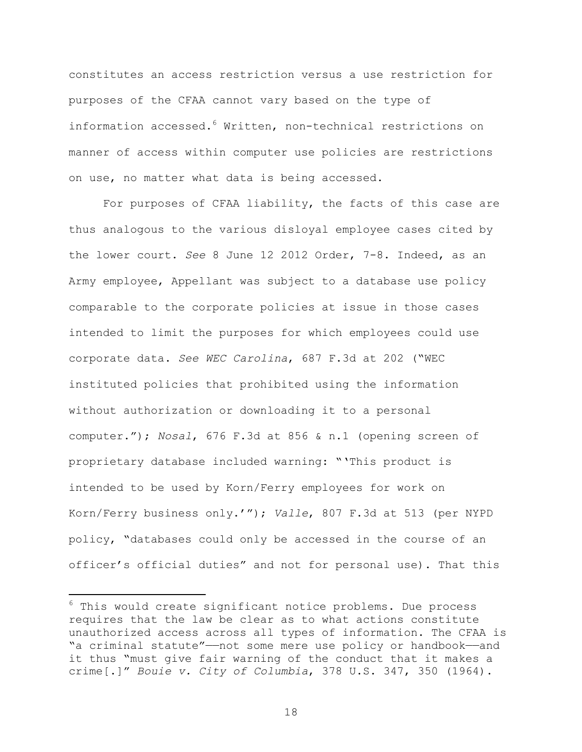constitutes an access restriction versus a use restriction for purposes of the CFAA cannot vary based on the type of information accessed.<sup>6</sup> Written, non-technical restrictions on manner of access within computer use policies are restrictions on use, no matter what data is being accessed.

For purposes of CFAA liability, the facts of this case are thus analogous to the various disloyal employee cases cited by the lower court. *See* 8 June 12 2012 Order, 7-8. Indeed, as an Army employee, Appellant was subject to a database use policy comparable to the corporate policies at issue in those cases intended to limit the purposes for which employees could use corporate data. *See WEC Carolina*, 687 F.3d at 202 ("WEC instituted policies that prohibited using the information without authorization or downloading it to a personal computer."); *Nosal*, 676 F.3d at 856 & n.1 (opening screen of proprietary database included warning: "'This product is intended to be used by Korn/Ferry employees for work on Korn/Ferry business only.'"); *Valle*, 807 F.3d at 513 (per NYPD policy, "databases could only be accessed in the course of an officer's official duties" and not for personal use). That this

1

 $6$  This would create significant notice problems. Due process requires that the law be clear as to what actions constitute unauthorized access across all types of information. The CFAA is "a criminal statute"-not some mere use policy or handbook-and it thus "must give fair warning of the conduct that it makes a crime[.]" *Bouie v. City of Columbia*, 378 U.S. 347, 350 (1964).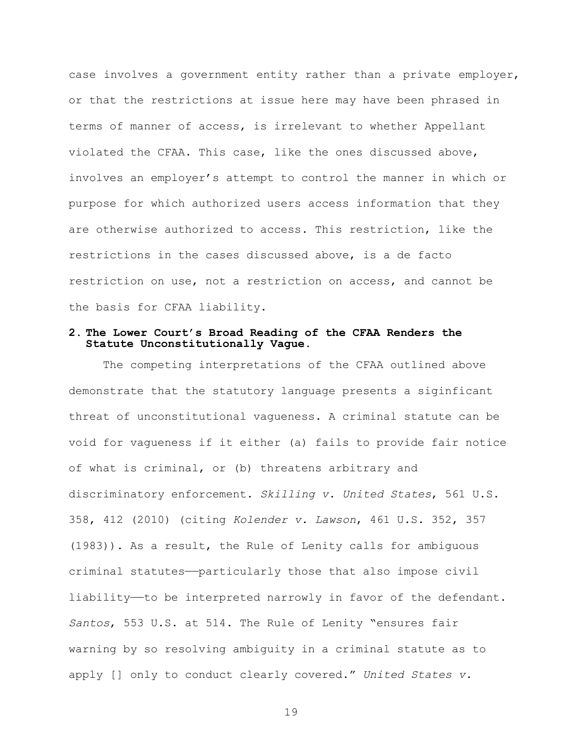case involves a government entity rather than a private employer, or that the restrictions at issue here may have been phrased in terms of manner of access, is irrelevant to whether Appellant violated the CFAA. This case, like the ones discussed above, involves an employer's attempt to control the manner in which or purpose for which authorized users access information that they are otherwise authorized to access. This restriction, like the restrictions in the cases discussed above, is a de facto restriction on use, not a restriction on access, and cannot be the basis for CFAA liability.

#### **2. The Lower Court's Broad Reading of the CFAA Renders the Statute Unconstitutionally Vague.**

The competing interpretations of the CFAA outlined above demonstrate that the statutory language presents a siginficant threat of unconstitutional vagueness. A criminal statute can be void for vagueness if it either (a) fails to provide fair notice of what is criminal, or (b) threatens arbitrary and discriminatory enforcement. *Skilling v. United States*, 561 U.S. 358, 412 (2010) (citing *Kolender v. Lawson*, 461 U.S. 352, 357 (1983)). As a result, the Rule of Lenity calls for ambiguous criminal statutes—particularly those that also impose civil liability——to be interpreted narrowly in favor of the defendant. *Santos*, 553 U.S. at 514. The Rule of Lenity "ensures fair warning by so resolving ambiguity in a criminal statute as to apply [] only to conduct clearly covered." *United States v.*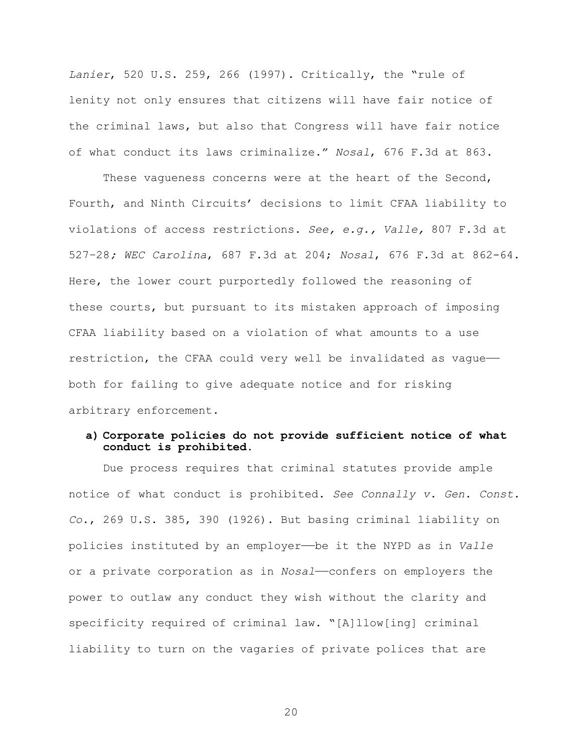*Lanier*, 520 U.S. 259, 266 (1997). Critically, the "rule of lenity not only ensures that citizens will have fair notice of the criminal laws, but also that Congress will have fair notice of what conduct its laws criminalize." *Nosal*, 676 F.3d at 863.

These vagueness concerns were at the heart of the Second, Fourth, and Ninth Circuits' decisions to limit CFAA liability to violations of access restrictions. *See, e.g., Valle,* 807 F.3d at 527–28*; WEC Carolina*, 687 F.3d at 204; *Nosal*, 676 F.3d at 862-64. Here, the lower court purportedly followed the reasoning of these courts, but pursuant to its mistaken approach of imposing CFAA liability based on a violation of what amounts to a use restriction, the CFAA could very well be invalidated as vague— both for failing to give adequate notice and for risking arbitrary enforcement.

# **a) Corporate policies do not provide sufficient notice of what conduct is prohibited.**

Due process requires that criminal statutes provide ample notice of what conduct is prohibited. *See Connally v. Gen. Const. Co*., 269 U.S. 385, 390 (1926). But basing criminal liability on policies instituted by an employer——be it the NYPD as in *Valle* or a private corporation as in *Nosal*——confers on employers the power to outlaw any conduct they wish without the clarity and specificity required of criminal law. "[A]llow[ing] criminal liability to turn on the vagaries of private polices that are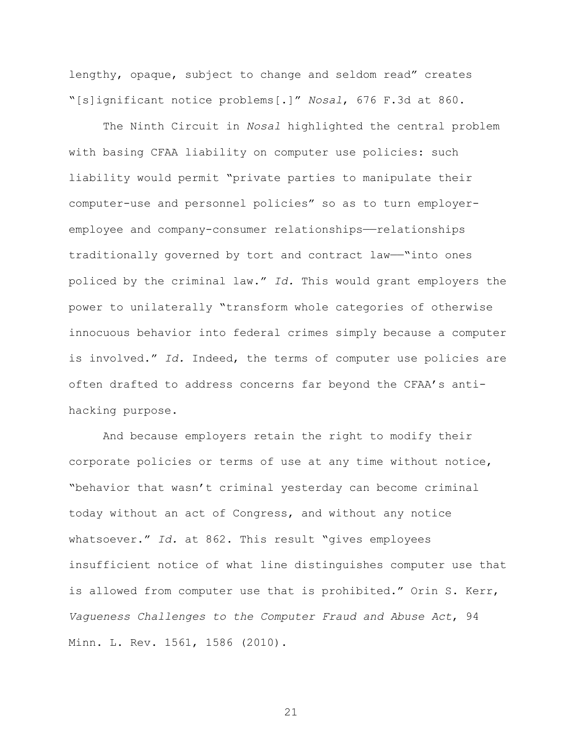lengthy, opaque, subject to change and seldom read" creates "[s]ignificant notice problems[.]" *Nosal*, 676 F.3d at 860.

The Ninth Circuit in *Nosal* highlighted the central problem with basing CFAA liability on computer use policies: such liability would permit "private parties to manipulate their computer-use and personnel policies" so as to turn employeremployee and company-consumer relationships——relationships traditionally governed by tort and contract law——"into ones policed by the criminal law." *Id.* This would grant employers the power to unilaterally "transform whole categories of otherwise innocuous behavior into federal crimes simply because a computer is involved." *Id.* Indeed, the terms of computer use policies are often drafted to address concerns far beyond the CFAA's antihacking purpose.

And because employers retain the right to modify their corporate policies or terms of use at any time without notice, "behavior that wasn't criminal yesterday can become criminal today without an act of Congress, and without any notice whatsoever." *Id.* at 862. This result "gives employees insufficient notice of what line distinguishes computer use that is allowed from computer use that is prohibited." Orin S. Kerr, *Vagueness Challenges to the Computer Fraud and Abuse Act*, 94 Minn. L. Rev. 1561, 1586 (2010).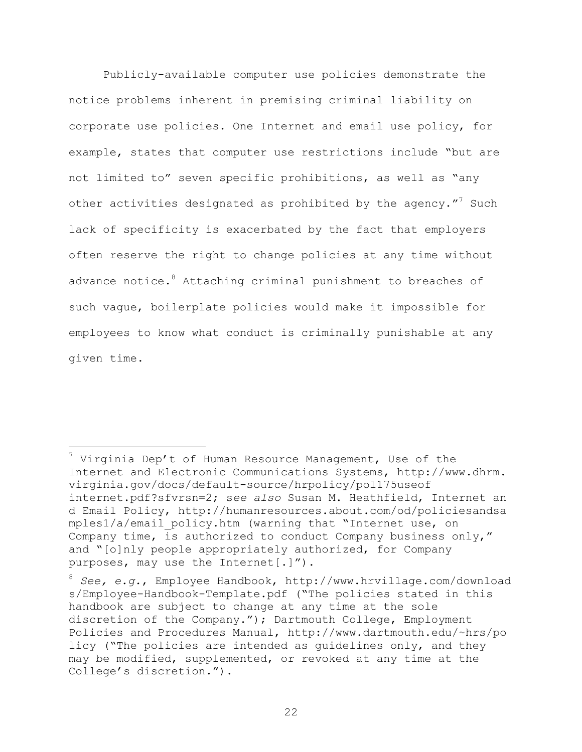Publicly-available computer use policies demonstrate the notice problems inherent in premising criminal liability on corporate use policies. One Internet and email use policy, for example, states that computer use restrictions include "but are not limited to" seven specific prohibitions, as well as "any other activities designated as prohibited by the agency."<sup>7</sup> Such lack of specificity is exacerbated by the fact that employers often reserve the right to change policies at any time without advance notice.<sup>8</sup> Attaching criminal punishment to breaches of such vague, boilerplate policies would make it impossible for employees to know what conduct is criminally punishable at any given time.

<u>.</u>

 $7$  Virginia Dep't of Human Resource Management, Use of the Internet and Electronic Communications Systems, http://www.dhrm. virginia.gov/docs/default-source/hrpolicy/pol175useof internet.pdf?sfvrsn=2; s*ee also* Susan M. Heathfield, Internet an d Email Policy, http://humanresources.about.com/od/policiesandsa mples1/a/email\_policy.htm (warning that "Internet use, on Company time, is authorized to conduct Company business only," and "[o]nly people appropriately authorized, for Company purposes, may use the Internet[.]").

<sup>8</sup> *See, e.g.*, Employee Handbook, http://www.hrvillage.com/download s/Employee-Handbook-Template.pdf ("The policies stated in this handbook are subject to change at any time at the sole discretion of the Company."); Dartmouth College, Employment Policies and Procedures Manual, http://www.dartmouth.edu/~hrs/po licy ("The policies are intended as guidelines only, and they may be modified, supplemented, or revoked at any time at the College's discretion.").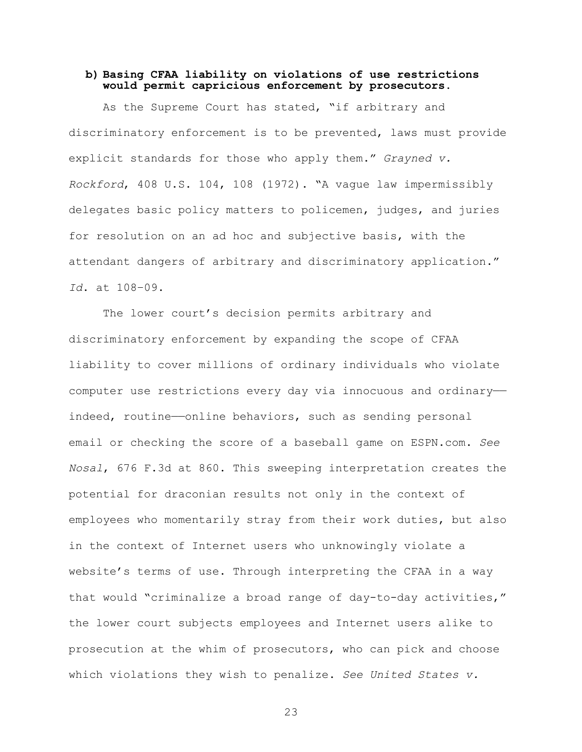### **b) Basing CFAA liability on violations of use restrictions would permit capricious enforcement by prosecutors.**

As the Supreme Court has stated, "if arbitrary and discriminatory enforcement is to be prevented, laws must provide explicit standards for those who apply them." *Grayned v. Rockford*, 408 U.S. 104, 108 (1972). "A vague law impermissibly delegates basic policy matters to policemen, judges, and juries for resolution on an ad hoc and subjective basis, with the attendant dangers of arbitrary and discriminatory application." *Id*. at 108–09.

The lower court's decision permits arbitrary and discriminatory enforcement by expanding the scope of CFAA liability to cover millions of ordinary individuals who violate computer use restrictions every day via innocuous and ordinaryindeed, routine——online behaviors, such as sending personal email or checking the score of a baseball game on ESPN.com. *See Nosal*, 676 F.3d at 860. This sweeping interpretation creates the potential for draconian results not only in the context of employees who momentarily stray from their work duties, but also in the context of Internet users who unknowingly violate a website's terms of use. Through interpreting the CFAA in a way that would "criminalize a broad range of day-to-day activities," the lower court subjects employees and Internet users alike to prosecution at the whim of prosecutors, who can pick and choose which violations they wish to penalize. *See United States v.*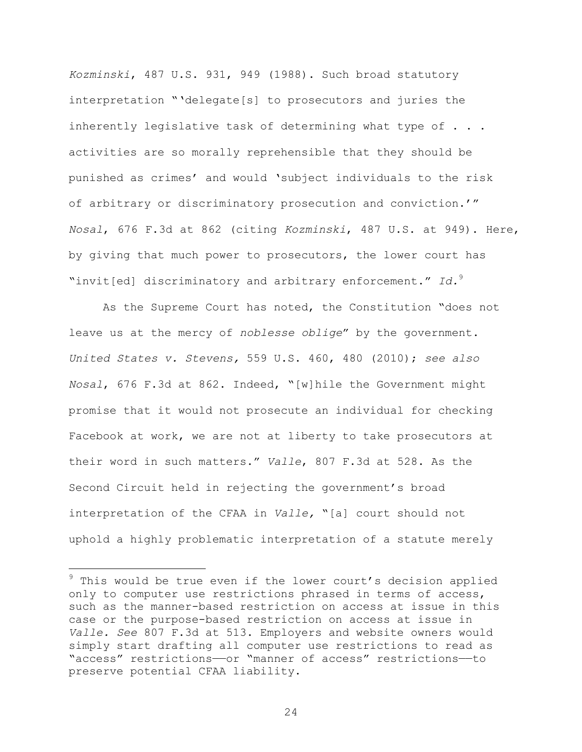*Kozminski*, 487 U.S. 931, 949 (1988). Such broad statutory interpretation "'delegate[s] to prosecutors and juries the inherently legislative task of determining what type of . . . activities are so morally reprehensible that they should be punished as crimes' and would 'subject individuals to the risk of arbitrary or discriminatory prosecution and conviction.'" *Nosal*, 676 F.3d at 862 (citing *Kozminski*, 487 U.S. at 949). Here, by giving that much power to prosecutors, the lower court has "invit[ed] discriminatory and arbitrary enforcement." *Id.*<sup>9</sup>

As the Supreme Court has noted, the Constitution "does not leave us at the mercy of *noblesse oblige*" by the government. *United States v. Stevens,* 559 U.S. 460, 480 (2010); *see also Nosal*, 676 F.3d at 862. Indeed, "[w]hile the Government might promise that it would not prosecute an individual for checking Facebook at work, we are not at liberty to take prosecutors at their word in such matters." *Valle*, 807 F.3d at 528. As the Second Circuit held in rejecting the government's broad interpretation of the CFAA in *Valle,* "[a] court should not uphold a highly problematic interpretation of a statute merely

1

 $9$  This would be true even if the lower court's decision applied only to computer use restrictions phrased in terms of access, such as the manner-based restriction on access at issue in this case or the purpose-based restriction on access at issue in *Valle. See* 807 F.3d at 513. Employers and website owners would simply start drafting all computer use restrictions to read as "access" restrictions——or "manner of access" restrictions——to preserve potential CFAA liability.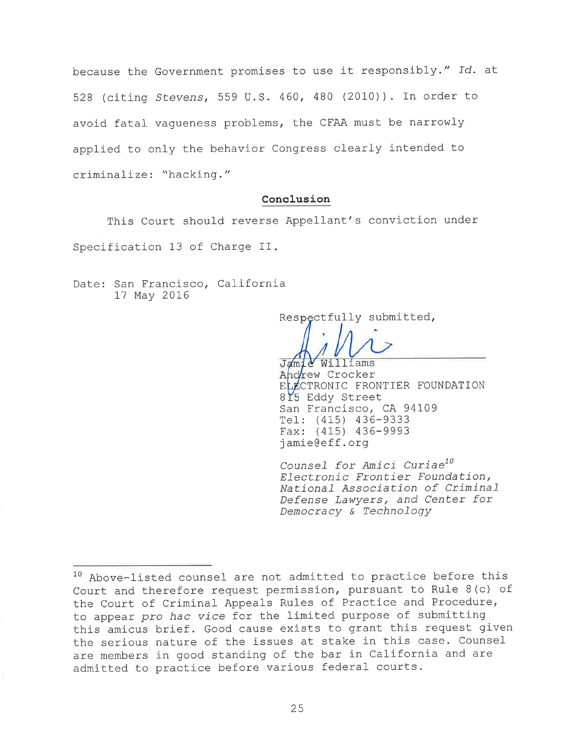because the Government promises to use it responsibly." Id. at 528 (citing Stevens, 559 U.S. 460, 480 (2010)). In order to avoid fatal vagueness problems, the CFAA must be narrowly applied to only the behavior Congress clearly intended to criminalize: "hacking."

### Conclusion

This Court should reverse Appellant's conviction under Specification 13 of Charge II.

Date: San Francisco, California 17 May 2016

Respectfully submitted,

Jamie Williams

Andrew Crocker ELECTRONIC FRONTIER FOUNDATION 815 Eddy Street San Francisco, CA 94109 Tel: (415) 436-9333 Fax:  $(415)$  436-9993 jamie@eff.org

Counsel for Amici Curiae<sup>10</sup> Electronic Frontier Foundation, National Association of Criminal Defense Lawyers, and Center for Democracy & Technology

<sup>&</sup>lt;sup>10</sup> Above-listed counsel are not admitted to practice before this Court and therefore request permission, pursuant to Rule 8(c) of the Court of Criminal Appeals Rules of Practice and Procedure, to appear pro hac vice for the limited purpose of submitting this amicus brief. Good cause exists to grant this request given the serious nature of the issues at stake in this case. Counsel are members in good standing of the bar in California and are admitted to practice before various federal courts.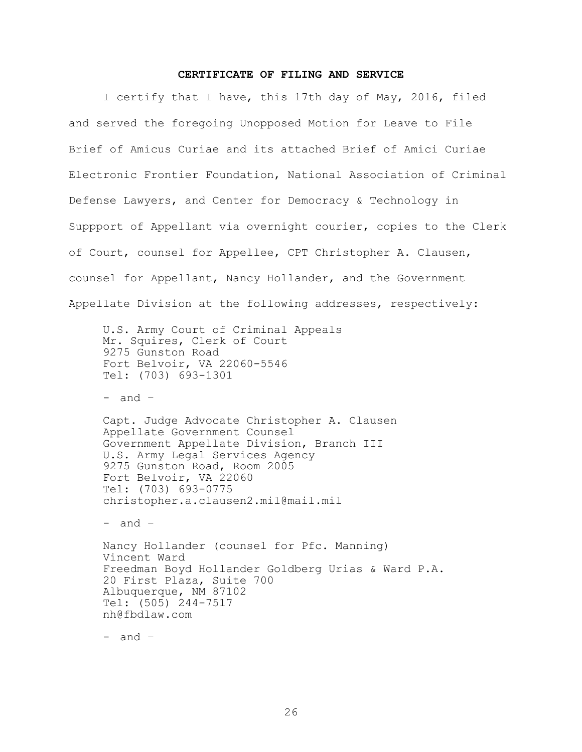#### **CERTIFICATE OF FILING AND SERVICE**

I certify that I have, this 17th day of May, 2016, filed and served the foregoing Unopposed Motion for Leave to File Brief of Amicus Curiae and its attached Brief of Amici Curiae Electronic Frontier Foundation, National Association of Criminal Defense Lawyers, and Center for Democracy & Technology in Suppport of Appellant via overnight courier, copies to the Clerk of Court, counsel for Appellee, CPT Christopher A. Clausen, counsel for Appellant, Nancy Hollander, and the Government Appellate Division at the following addresses, respectively:

U.S. Army Court of Criminal Appeals Mr. Squires, Clerk of Court 9275 Gunston Road Fort Belvoir, VA 22060-5546 Tel: (703) 693-1301

- and –

Capt. Judge Advocate Christopher A. Clausen Appellate Government Counsel Government Appellate Division, Branch III U.S. Army Legal Services Agency 9275 Gunston Road, Room 2005 Fort Belvoir, VA 22060 Tel: (703) 693-0775 christopher.a.clausen2.mil@mail.mil

- and –

Nancy Hollander (counsel for Pfc. Manning) Vincent Ward Freedman Boyd Hollander Goldberg Urias & Ward P.A. 20 First Plaza, Suite 700 Albuquerque, NM 87102 Tel: (505) 244-7517 nh@fbdlaw.com

- and –